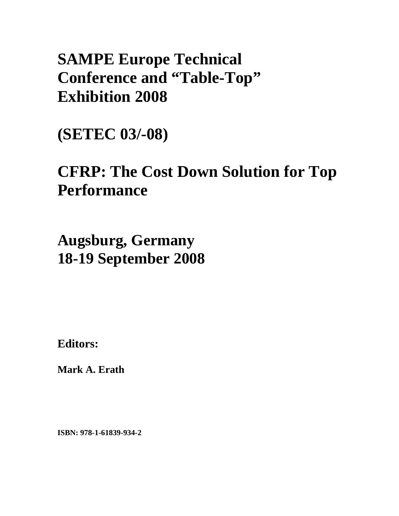# **SAMPE Europe Technical Conference and "Table-Top" Exhibition 2008**

**(SETEC 03/-08)** 

# **CFRP: The Cost Down Solution for Top Performance**

**Augsburg, Germany 18-19 September 2008**

**Editors:** 

**Mark A. Erath** 

**ISBN: 978-1-61839-934-2**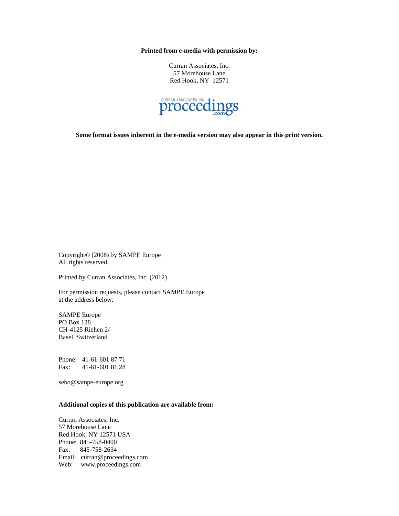**Printed from e-media with permission by:** 

Curran Associates, Inc. 57 Morehouse Lane Red Hook, NY 12571



**Some format issues inherent in the e-media version may also appear in this print version.** 

Copyright© (2008) by SAMPE Europe All rights reserved.

Printed by Curran Associates, Inc. (2012)

For permission requests, please contact SAMPE Europe at the address below.

SAMPE Europe PO Box 128 CH-4125 Riehen 2/ Basel, Switzerland

Phone: 41-61-601 87 71 Fax: 41-61-601 81 28

sebo@sampe-europe.org

#### **Additional copies of this publication are available from:**

Curran Associates, Inc. 57 Morehouse Lane Red Hook, NY 12571 USA Phone: 845-758-0400 Fax: 845-758-2634 Email: curran@proceedings.com Web: www.proceedings.com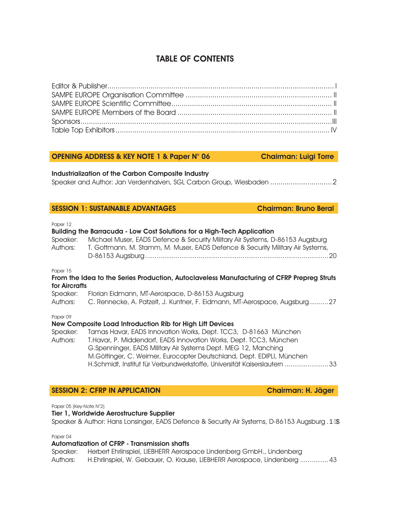## TABLE OF CONTENTS

### OPENING ADDRESS & KEY NOTE 1 & Paper N° 06 Chairman: Luigi Torre

Industrialization of the Carbon Composite Industry

Speaker and Author: Jan Verdenhalven, SGL Carbon Group, Wiesbaden .............................. 2

#### SESSION 1: SUSTAINABLE ADVANTAGES Chairman: Bruno Beral

Paper 12

| Speaker:<br>Authors:      | Building the Barracuda - Low Cost Solutions for a High-Tech Application<br>Michael Muser, EADS Defence & Security Military Air Systems, D-86153 Augsburg<br>T. Gottmann, M. Stamm, M. Muser, EADS Defence & Security Military Air Systems,<br>20                                                                                                             |
|---------------------------|--------------------------------------------------------------------------------------------------------------------------------------------------------------------------------------------------------------------------------------------------------------------------------------------------------------------------------------------------------------|
| Paper 15<br>for Aircrafts | From the Idea to the Series Production, Autoclaveless Manufacturing of CFRP Prepreg Struts                                                                                                                                                                                                                                                                   |
|                           |                                                                                                                                                                                                                                                                                                                                                              |
| Speaker:<br>Authors:      | Florian Eidmann, MT-Aerospace, D-86153 Augsburg<br>C. Rennecke, A. Patzelt, J. Kuntner, F. Eidmann, MT-Aerospace, Augsburg27                                                                                                                                                                                                                                 |
| Paper 09                  |                                                                                                                                                                                                                                                                                                                                                              |
|                           | New Composite Load Introduction Rib for High Lift Devices                                                                                                                                                                                                                                                                                                    |
| Speaker:<br>Authors:      | Tamas Havar, EADS Innovation Works, Dept. TCC3, D-81663 München<br>T.Havar, P. Middendorf, EADS Innovation Works, Dept. TCC3, München<br>G.Spenninger, EADS Military Air Systems Dept. MEG 12, Manching<br>M.Göttinger, C. Weimer, Eurocopter Deutschland, Dept. EDIPLI, München<br>H.Schmidt, Institut für Verbundwerkstoffe, Universität Kaiserslautern 33 |

#### SESSION 2: CFRP IN APPLICATION Chairman: H. Jäger

Paper 05 (Key-Note N°2)

#### Tier 1, Worldwide Aerostructure Supplier

Speaker & Author: Hans Lonsinger, EADS Defence & Security Air Systems, D-86153 Augsburg . **PEX** 

Paper 04

### Automatization of CFRP - Transmission shafts

Speaker: Herbert Ehrlinspiel, LIEBHERR Aerospace Lindenberg GmbH., Lindenberg Authors: H.Ehrlinspiel, W. Gebauer, O. Krause, LIEBHERR Aerospace, Lindenberg ............... 43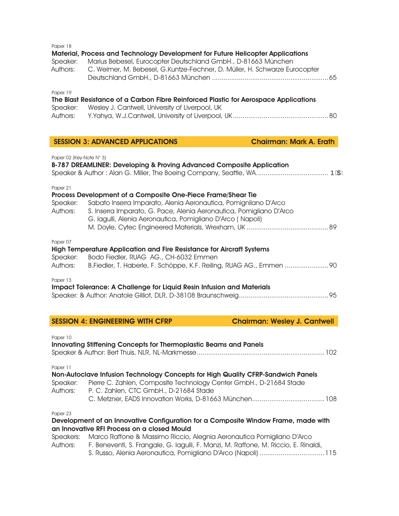| Paper 18<br>Speaker:<br>Authors:                                                                  | Material, Process and Technology Development for Future Helicopter Applications<br>Marius Bebesel, Eurocopter Deutschland GmbH., D-81663 München<br>C. Weimer, M. Bebesel, G.Kuntze-Fechner, D. Müller, H. Schwarze Eurocopter                                       |  |
|---------------------------------------------------------------------------------------------------|----------------------------------------------------------------------------------------------------------------------------------------------------------------------------------------------------------------------------------------------------------------------|--|
| Paper 19<br>Speaker:<br>Authors:                                                                  | The Blast Resistance of a Carbon Fibre Reinforced Plastic for Aerospace Applications<br>Wesley J. Cantwell, University of Liverpool, UK                                                                                                                              |  |
|                                                                                                   | <b>SESSION 3: ADVANCED APPLICATIONS</b><br><b>Chairman: Mark A. Erath</b>                                                                                                                                                                                            |  |
| Paper 02 (Key-Note N° 3)<br>B-787 DREAMLINER: Developing & Proving Advanced Composite Application |                                                                                                                                                                                                                                                                      |  |
| Paper 21<br>Speaker:<br>Authors:                                                                  | Process Development of a Composite One-Piece Frame/Shear Tie<br>Sabato Inserra Imparato, Alenia Aeronautica, Pomignilano D'Arco<br>S. Inserra Imparato, G. Pace, Alenia Aeronautica, Pomigliano D'Arco<br>G. lagulli, Alenia Aeronautica, Pomigliano D'Arco (Napoli) |  |
| Paper 07<br>Speaker:<br>Authors:                                                                  | High Temperature Application and Fire Resistance for Aircraft Systems<br>Bodo Fiedler, RUAG AG., CH-6032 Emmen                                                                                                                                                       |  |
| Paper 13                                                                                          | Impact Tolerance: A Challenge for Liquid Resin Infusion and Materials                                                                                                                                                                                                |  |

# SESSION 4: ENGINEERING WITH CFRP Chairman: Wesley J. Cantwell

|                       | <u> Jeddich – Erichiteering milli Chri</u>                                                                                                                                                       | <u>Unaninani: Wusicy U. Udinivcii </u> |
|-----------------------|--------------------------------------------------------------------------------------------------------------------------------------------------------------------------------------------------|----------------------------------------|
| Paper 10              | Innovating Stiffening Concepts for Thermoplastic Beams and Panels                                                                                                                                |                                        |
| Paper 11              |                                                                                                                                                                                                  |                                        |
| Speaker:<br>Authors:  | Non-Autoclave Infusion Technology Concepts for High Quality CFRP-Sandwich Panels<br>Pierre C. Zahlen, Composite Technology Center GmbH., D-21684 Stade<br>P. C. Zahlen, CTC GmbH., D-21684 Stade |                                        |
| Paper 23              | Development of an Innovative Configuration for a Composite Window Frame, made with<br>an Innovative RFI Process on a closed Mould                                                                |                                        |
| Speakers:<br>Authors: | Marco Raffone & Massimo Riccio, Alegnia Aeronautica Pomigliano D'Arco<br>F. Beneventi, S. Frangale, G. lagulli, F. Manzi, M. Raffone, M. Riccio, E. Rinaldi,                                     |                                        |